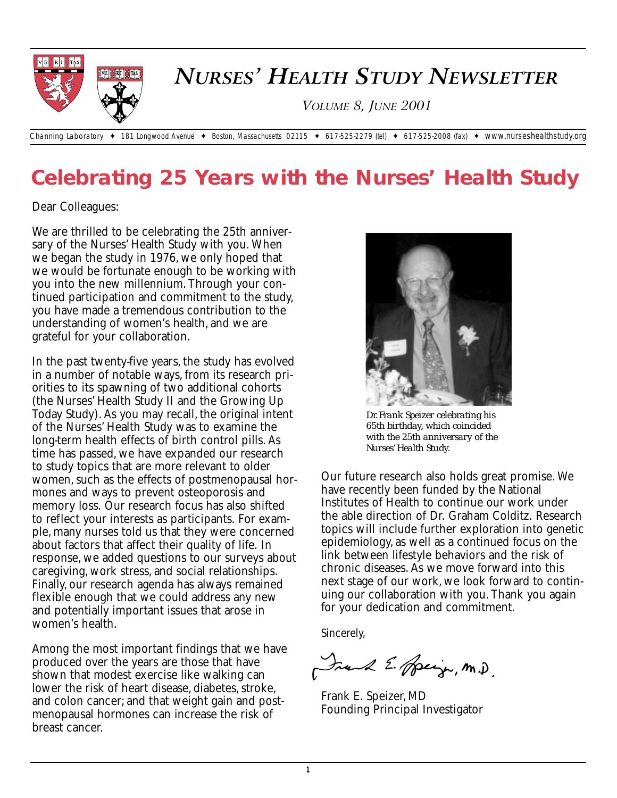

# **Celebrating 25 Years with the Nurses' Health Study**

Dear Colleagues:

We are thrilled to be celebrating the 25th anniversary of the Nurses' Health Study with you. When we began the study in 1976, we only hoped that we would be fortunate enough to be working with you into the new millennium. Through your continued participation and commitment to the study, you have made a tremendous contribution to the understanding of women's health, and we are grateful for your collaboration.

In the past twenty-five years, the study has evolved in a number of notable ways, from its research priorities to its spawning of two additional cohorts (the Nurses' Health Study II and the Growing Up Today Study). As you may recall, the original intent of the Nurses' Health Study was to examine the long-term health effects of birth control pills. As time has passed, we have expanded our research to study topics that are more relevant to older women, such as the effects of postmenopausal hormones and ways to prevent osteoporosis and memory loss. Our research focus has also shifted to reflect your interests as participants. For example, many nurses told us that they were concerned about factors that affect their quality of life. In response, we added questions to our surveys about caregiving, work stress, and social relationships. Finally, our research agenda has always remained flexible enough that we could address any new and potentially important issues that arose in women's health.

Among the most important findings that we have produced over the years are those that have shown that modest exercise like walking can lower the risk of heart disease, diabetes, stroke, and colon cancer; and that weight gain and postmenopausal hormones can increase the risk of breast cancer.



*Dr. Frank Speizer celebrating his 65th birthday, which coincided with the 25th anniversary of the Nurses' Health Study.*

Our future research also holds great promise. We have recently been funded by the National Institutes of Health to continue our work under the able direction of Dr. Graham Colditz. Research topics will include further exploration into genetic epidemiology, as well as a continued focus on the link between lifestyle behaviors and the risk of chronic diseases. As we move forward into this next stage of our work, we look forward to continuing our collaboration with you. Thank you again for your dedication and commitment.

Sincerely,

Frank E. Speign, M.D.

Frank E. Speizer, MD Founding Principal Investigator

**1**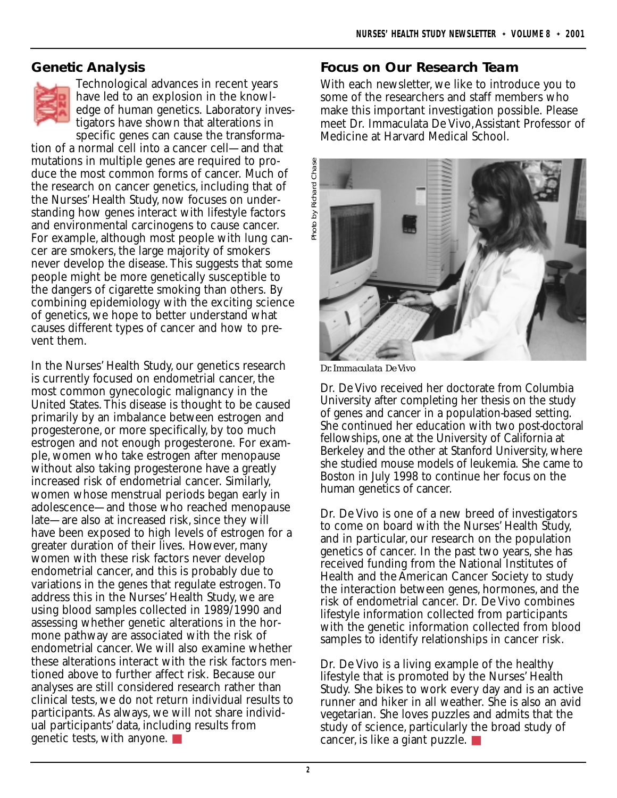### **Genetic Analysis**



Technological advances in recent years have led to an explosion in the knowledge of human genetics. Laboratory investigators have shown that alterations in specific genes can cause the transforma-

tion of a normal cell into a cancer cell—and that mutations in multiple genes are required to produce the most common forms of cancer. Much of the research on cancer genetics, including that of the Nurses' Health Study, now focuses on understanding how genes interact with lifestyle factors and environmental carcinogens to cause cancer. For example, although most people with lung cancer are smokers, the large majority of smokers never develop the disease. This suggests that some people might be more genetically susceptible to the dangers of cigarette smoking than others. By combining epidemiology with the exciting science of genetics, we hope to better understand what causes different types of cancer and how to prevent them.

In the Nurses' Health Study, our genetics research is currently focused on endometrial cancer, the most common gynecologic malignancy in the United States. This disease is thought to be caused primarily by an imbalance between estrogen and progesterone, or more specifically, by too much estrogen and not enough progesterone. For example, women who take estrogen after menopause without also taking progesterone have a greatly increased risk of endometrial cancer. Similarly, women whose menstrual periods began early in adolescence—and those who reached menopause late—are also at increased risk, since they will have been exposed to high levels of estrogen for a greater duration of their lives. However, many women with these risk factors never develop endometrial cancer, and this is probably due to variations in the genes that regulate estrogen. To address this in the Nurses' Health Study, we are using blood samples collected in 1989/1990 and assessing whether genetic alterations in the hormone pathway are associated with the risk of endometrial cancer. We will also examine whether these alterations interact with the risk factors mentioned above to further affect risk. Because our analyses are still considered research rather than clinical tests, we do not return individual results to participants. As always, we will not share individual participants' data, including results from genetic tests, with anyone. ■

#### **Focus on Our Research Team**

With each newsletter, we like to introduce you to some of the researchers and staff members who make this important investigation possible. Please meet Dr. Immaculata De Vivo,Assistant Professor of Medicine at Harvard Medical School.



*Dr. Immaculata De Vivo*

Dr. De Vivo received her doctorate from Columbia University after completing her thesis on the study of genes and cancer in a population-based setting. She continued her education with two post-doctoral fellowships, one at the University of California at Berkeley and the other at Stanford University, where she studied mouse models of leukemia. She came to Boston in July 1998 to continue her focus on the human genetics of cancer.

Dr. De Vivo is one of a new breed of investigators to come on board with the Nurses' Health Study, and in particular, our research on the population genetics of cancer. In the past two years, she has received funding from the National Institutes of Health and the American Cancer Society to study the interaction between genes, hormones, and the risk of endometrial cancer. Dr. De Vivo combines lifestyle information collected from participants with the genetic information collected from blood samples to identify relationships in cancer risk.

Dr. De Vivo is a living example of the healthy lifestyle that is promoted by the Nurses' Health Study. She bikes to work every day and is an active runner and hiker in all weather. She is also an avid vegetarian. She loves puzzles and admits that the study of science, particularly the broad study of cancer, is like a giant puzzle. ■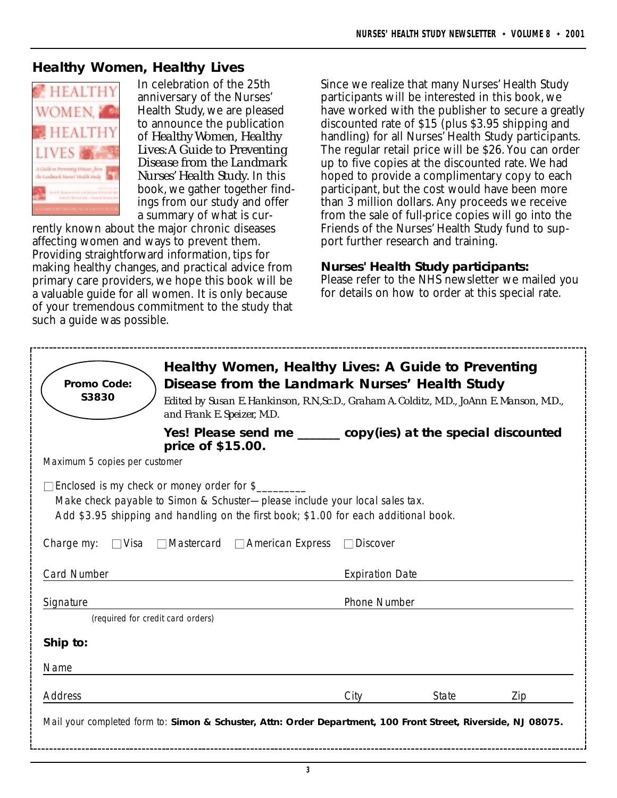#### **Healthy Women, Healthy Lives**



In celebration of the 25th anniversary of the Nurses' Health Study, we are pleased to announce the publication of *Healthy Women, Healthy Lives:A Guide to Preventing Disease from the Landmark Nurses' Health Study.* In this book, we gather together findings from our study and offer a summary of what is cur-

rently known about the major chronic diseases affecting women and ways to prevent them. Providing straightforward information, tips for making healthy changes, and practical advice from primary care providers, we hope this book will be a valuable guide for all women. It is only because of your tremendous commitment to the study that such a guide was possible.

Since we realize that many Nurses' Health Study participants will be interested in this book, we have worked with the publisher to secure a greatly discounted rate of \$15 (plus \$3.95 shipping and handling) for all Nurses' Health Study participants. The regular retail price will be \$26. You can order up to five copies at the discounted rate. We had hoped to provide a complimentary copy to each participant, but the cost would have been more than 3 million dollars. Any proceeds we receive from the sale of full-price copies will go into the Friends of the Nurses' Health Study fund to support further research and training.

#### **Nurses' Health Study participants:**

Please refer to the NHS newsletter we mailed you for details on how to order at this special rate.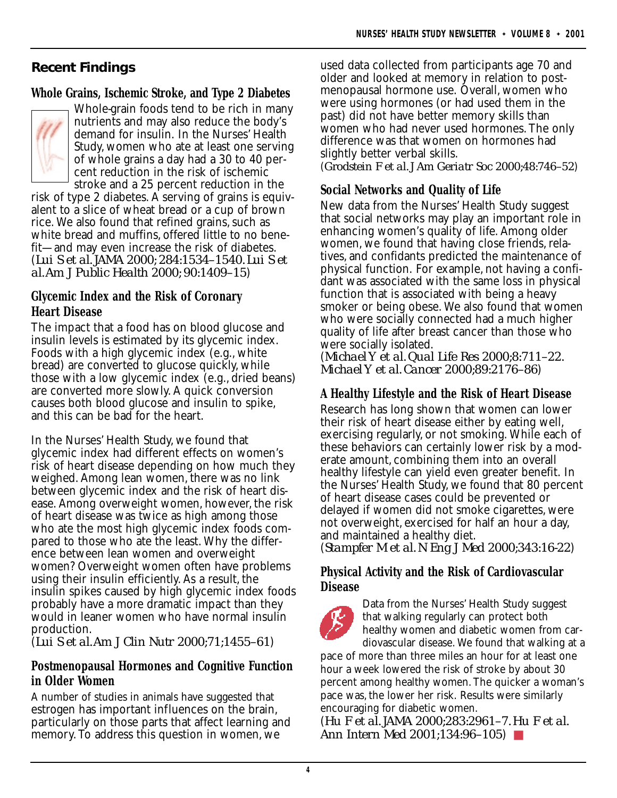# **Recent Findings**

# **Whole Grains, Ischemic Stroke, and Type 2 Diabetes**



Whole-grain foods tend to be rich in many nutrients and may also reduce the body's demand for insulin. In the Nurses' Health Study, women who ate at least one serving of whole grains a day had a 30 to 40 percent reduction in the risk of ischemic

stroke and a 25 percent reduction in the risk of type 2 diabetes. A serving of grains is equivalent to a slice of wheat bread or a cup of brown rice. We also found that refined grains, such as white bread and muffins, offered little to no benefit—and may even increase the risk of diabetes. (*Lui S et al. JAMA 2000; 284:1534–1540. Lui S et al.Am J Public Health 2000; 90:1409–15*)

#### **Glycemic Index and the Risk of Coronary Heart Disease**

The impact that a food has on blood glucose and insulin levels is estimated by its glycemic index. Foods with a high glycemic index (e.g., white bread) are converted to glucose quickly, while those with a low glycemic index (e.g., dried beans) are converted more slowly. A quick conversion causes both blood glucose and insulin to spike, and this can be bad for the heart.

In the Nurses' Health Study, we found that glycemic index had different effects on women's risk of heart disease depending on how much they weighed. Among lean women, there was no link between glycemic index and the risk of heart disease. Among overweight women, however, the risk of heart disease was twice as high among those who ate the most high glycemic index foods compared to those who ate the least. Why the difference between lean women and overweight women? Overweight women often have problems using their insulin efficiently. As a result, the insulin spikes caused by high glycemic index foods probably have a more dramatic impact than they would in leaner women who have normal insulin production.

(*Lui S et al.Am J Clin Nutr 2000;71;1455–61*)

# **Postmenopausal Hormones and Cognitive Function in Older Women**

A number of studies in animals have suggested that estrogen has important influences on the brain, particularly on those parts that affect learning and memory. To address this question in women, we

used data collected from participants age 70 and older and looked at memory in relation to postmenopausal hormone use. Overall, women who were using hormones (or had used them in the past) did not have better memory skills than women who had never used hormones. The only difference was that women on hormones had slightly better verbal skills.

(*Grodstein F et al. J Am Geriatr Soc 2000;48:746–52*)

# **Social Networks and Quality of Life**

New data from the Nurses' Health Study suggest that social networks may play an important role in enhancing women's quality of life. Among older women, we found that having close friends, relatives, and confidants predicted the maintenance of physical function. For example, not having a confidant was associated with the same loss in physical function that is associated with being a heavy smoker or being obese. We also found that women who were socially connected had a much higher quality of life after breast cancer than those who were socially isolated.

(*Michael Y et al. Qual Life Res 2000;8:711–22. Michael Y et al. Cancer 2000;89:2176–86*)

# **A Healthy Lifestyle and the Risk of Heart Disease**

Research has long shown that women can lower their risk of heart disease either by eating well, exercising regularly, or not smoking. While each of these behaviors can certainly lower risk by a moderate amount, combining them into an overall healthy lifestyle can yield even greater benefit. In the Nurses' Health Study, we found that 80 percent of heart disease cases could be prevented or delayed if women did not smoke cigarettes, were not overweight, exercised for half an hour a day, and maintained a healthy diet.

(*Stampfer M et al. N Eng J Med 2000;343:16-22*)

#### **Physical Activity and the Risk of Cardiovascular Disease**



Data from the Nurses' Health Study suggest that walking regularly can protect both healthy women and diabetic women from cardiovascular disease. We found that walking at a

pace of more than three miles an hour for at least one hour a week lowered the risk of stroke by about 30 percent among healthy women. The quicker a woman's pace was, the lower her risk. Results were similarly encouraging for diabetic women.

(*Hu F et al. JAMA 2000;283:2961–7. Hu F et al. Ann Intern Med 2001;134:96–105*) ■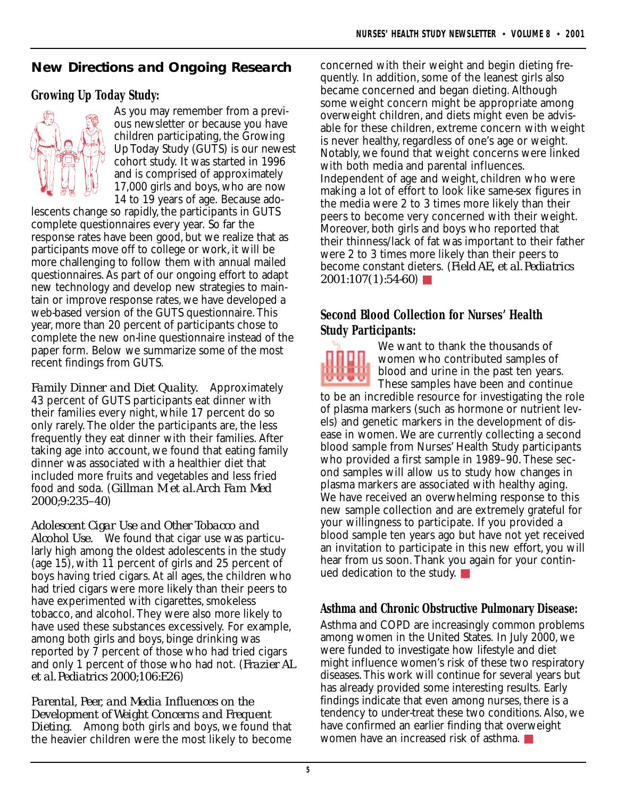# **New Directions and Ongoing Research**

# **Growing Up Today Study:**



As you may remember from a previous newsletter or because you have children participating, the Growing Up Today Study (GUTS) is our newest cohort study. It was started in 1996 and is comprised of approximately 17,000 girls and boys, who are now 14 to 19 years of age. Because ado-

lescents change so rapidly, the participants in GUTS complete questionnaires every year. So far the response rates have been good, but we realize that as participants move off to college or work, it will be more challenging to follow them with annual mailed questionnaires. As part of our ongoing effort to adapt new technology and develop new strategies to maintain or improve response rates, we have developed a web-based version of the GUTS questionnaire. This year, more than 20 percent of participants chose to complete the new on-line questionnaire instead of the paper form. Below we summarize some of the most recent findings from GUTS.

*Family Dinner and Diet Quality.* Approximately 43 percent of GUTS participants eat dinner with their families every night, while 17 percent do so only rarely. The older the participants are, the less frequently they eat dinner with their families. After taking age into account, we found that eating family dinner was associated with a healthier diet that included more fruits and vegetables and less fried food and soda. (*Gillman M et al.Arch Fam Med 2000;9:235–40*)

*Adolescent Cigar Use and Other Tobacco and Alcohol Use.* We found that cigar use was particularly high among the oldest adolescents in the study (age 15), with 11 percent of girls and 25 percent of boys having tried cigars. At all ages, the children who had tried cigars were more likely than their peers to have experimented with cigarettes, smokeless tobacco, and alcohol. They were also more likely to have used these substances excessively. For example, among both girls and boys, binge drinking was reported by 7 percent of those who had tried cigars and only 1 percent of those who had not. (*Frazier AL et al. Pediatrics 2000;106:E26*)

*Parental, Peer, and Media Influences on the Development of Weight Concerns and Frequent Dieting.* Among both girls and boys, we found that the heavier children were the most likely to become

concerned with their weight and begin dieting frequently. In addition, some of the leanest girls also became concerned and began dieting. Although some weight concern might be appropriate among overweight children, and diets might even be advisable for these children, extreme concern with weight is never healthy, regardless of one's age or weight. Notably, we found that weight concerns were linked with both media and parental influences. Independent of age and weight, children who were making a lot of effort to look like same-sex figures in the media were 2 to 3 times more likely than their peers to become very concerned with their weight. Moreover, both girls and boys who reported that their thinness/lack of fat was important to their father were 2 to 3 times more likely than their peers to become constant dieters. (*Field AE, et al. Pediatrics 2001:107(1):54-60*) ■

# **Second Blood Collection for Nurses' Health Study Participants:**



We want to thank the thousands of women who contributed samples of blood and urine in the past ten years. These samples have been and continue

to be an incredible resource for investigating the role of plasma markers (such as hormone or nutrient levels) and genetic markers in the development of disease in women. We are currently collecting a second blood sample from Nurses' Health Study participants who provided a first sample in 1989–90. These second samples will allow us to study how changes in plasma markers are associated with healthy aging. We have received an overwhelming response to this new sample collection and are extremely grateful for your willingness to participate. If you provided a blood sample ten years ago but have not yet received an invitation to participate in this new effort, you will hear from us soon. Thank you again for your continued dedication to the study. ■

# **Asthma and Chronic Obstructive Pulmonary Disease:**

Asthma and COPD are increasingly common problems among women in the United States. In July 2000, we were funded to investigate how lifestyle and diet might influence women's risk of these two respiratory diseases. This work will continue for several years but has already provided some interesting results. Early findings indicate that even among nurses, there is a tendency to under-treat these two conditions. Also, we have confirmed an earlier finding that overweight women have an increased risk of asthma. ■